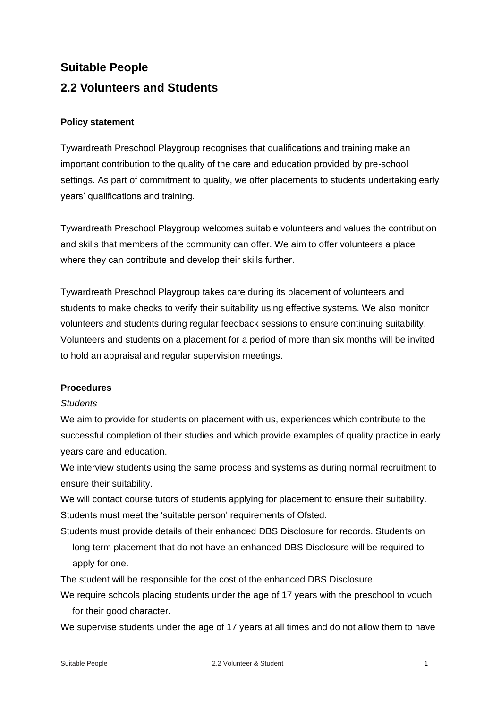# **Suitable People 2.2 Volunteers and Students**

## **Policy statement**

Tywardreath Preschool Playgroup recognises that qualifications and training make an important contribution to the quality of the care and education provided by pre-school settings. As part of commitment to quality, we offer placements to students undertaking early years' qualifications and training.

Tywardreath Preschool Playgroup welcomes suitable volunteers and values the contribution and skills that members of the community can offer. We aim to offer volunteers a place where they can contribute and develop their skills further.

Tywardreath Preschool Playgroup takes care during its placement of volunteers and students to make checks to verify their suitability using effective systems. We also monitor volunteers and students during regular feedback sessions to ensure continuing suitability. Volunteers and students on a placement for a period of more than six months will be invited to hold an appraisal and regular supervision meetings.

### **Procedures**

### *Students*

We aim to provide for students on placement with us, experiences which contribute to the successful completion of their studies and which provide examples of quality practice in early years care and education.

We interview students using the same process and systems as during normal recruitment to ensure their suitability.

We will contact course tutors of students applying for placement to ensure their suitability. Students must meet the 'suitable person' requirements of Ofsted.

Students must provide details of their enhanced DBS Disclosure for records. Students on long term placement that do not have an enhanced DBS Disclosure will be required to apply for one.

The student will be responsible for the cost of the enhanced DBS Disclosure.

We require schools placing students under the age of 17 years with the preschool to vouch for their good character.

We supervise students under the age of 17 years at all times and do not allow them to have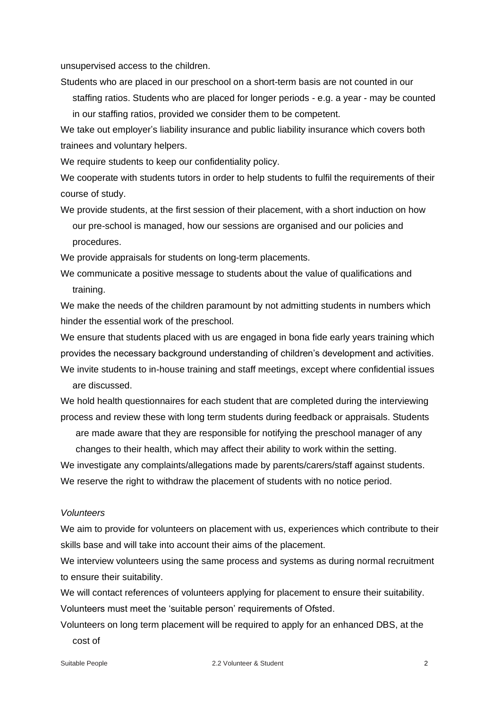unsupervised access to the children.

Students who are placed in our preschool on a short-term basis are not counted in our staffing ratios. Students who are placed for longer periods - e.g. a year - may be counted in our staffing ratios, provided we consider them to be competent.

We take out employer's liability insurance and public liability insurance which covers both

trainees and voluntary helpers.

We require students to keep our confidentiality policy.

We cooperate with students tutors in order to help students to fulfil the requirements of their course of study.

We provide students, at the first session of their placement, with a short induction on how our pre-school is managed, how our sessions are organised and our policies and procedures.

We provide appraisals for students on long-term placements.

We communicate a positive message to students about the value of qualifications and training.

We make the needs of the children paramount by not admitting students in numbers which hinder the essential work of the preschool.

We ensure that students placed with us are engaged in bona fide early years training which provides the necessary background understanding of children's development and activities. We invite students to in-house training and staff meetings, except where confidential issues are discussed.

We hold health questionnaires for each student that are completed during the interviewing process and review these with long term students during feedback or appraisals. Students

are made aware that they are responsible for notifying the preschool manager of any changes to their health, which may affect their ability to work within the setting.

We investigate any complaints/allegations made by parents/carers/staff against students. We reserve the right to withdraw the placement of students with no notice period.

#### *Volunteers*

We aim to provide for volunteers on placement with us, experiences which contribute to their skills base and will take into account their aims of the placement.

We interview volunteers using the same process and systems as during normal recruitment to ensure their suitability.

We will contact references of volunteers applying for placement to ensure their suitability. Volunteers must meet the 'suitable person' requirements of Ofsted.

Volunteers on long term placement will be required to apply for an enhanced DBS, at the cost of